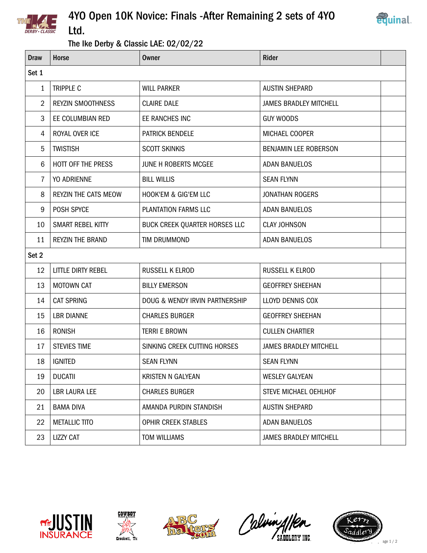

## 4YO Open 10K Novice: Finals -After Remaining 2 sets of 4YO Ltd.



## The Ike Derby & Classic LAE: 02/02/22

| <b>Draw</b> | <b>Horse</b>                | <b>Owner</b>                    | <b>Rider</b>                  |  |  |
|-------------|-----------------------------|---------------------------------|-------------------------------|--|--|
| Set 1       |                             |                                 |                               |  |  |
| 1           | TRIPPLE C                   | <b>WILL PARKER</b>              | <b>AUSTIN SHEPARD</b>         |  |  |
| 2           | <b>REYZIN SMOOTHNESS</b>    | <b>CLAIRE DALE</b>              | <b>JAMES BRADLEY MITCHELL</b> |  |  |
| 3           | EE COLUMBIAN RED            | EE RANCHES INC                  | <b>GUY WOODS</b>              |  |  |
| 4           | ROYAL OVER ICE              | <b>PATRICK BENDELE</b>          | MICHAEL COOPER                |  |  |
| 5           | <b>TWISTISH</b>             | <b>SCOTT SKINKIS</b>            | BENJAMIN LEE ROBERSON         |  |  |
| 6           | HOTT OFF THE PRESS          | JUNE H ROBERTS MCGEE            | <b>ADAN BANUELOS</b>          |  |  |
| 7           | YO ADRIENNE                 | <b>BILL WILLIS</b>              | <b>SEAN FLYNN</b>             |  |  |
| 8           | <b>REYZIN THE CATS MEOW</b> | <b>HOOK'EM &amp; GIG'EM LLC</b> | <b>JONATHAN ROGERS</b>        |  |  |
| 9           | POSH SPYCE                  | PLANTATION FARMS LLC            | <b>ADAN BANUELOS</b>          |  |  |
| 10          | SMART REBEL KITTY           | BUCK CREEK QUARTER HORSES LLC   | <b>CLAY JOHNSON</b>           |  |  |
| 11          | <b>REYZIN THE BRAND</b>     | <b>TIM DRUMMOND</b>             | <b>ADAN BANUELOS</b>          |  |  |
| Set 2       |                             |                                 |                               |  |  |
| 12          | LITTLE DIRTY REBEL          | RUSSELL K ELROD                 | RUSSELL K ELROD               |  |  |
| 13          | <b>MOTOWN CAT</b>           | <b>BILLY EMERSON</b>            | <b>GEOFFREY SHEEHAN</b>       |  |  |
| 14          | <b>CAT SPRING</b>           | DOUG & WENDY IRVIN PARTNERSHIP  | LLOYD DENNIS COX              |  |  |
| 15          | <b>LBR DIANNE</b>           | <b>CHARLES BURGER</b>           | <b>GEOFFREY SHEEHAN</b>       |  |  |
| 16          | <b>RONISH</b>               | <b>TERRI E BROWN</b>            | <b>CULLEN CHARTIER</b>        |  |  |
| 17          | <b>STEVIES TIME</b>         | SINKING CREEK CUTTING HORSES    | <b>JAMES BRADLEY MITCHELL</b> |  |  |
| 18          | <b>IGNITED</b>              | <b>SEAN FLYNN</b>               | <b>SEAN FLYNN</b>             |  |  |
| 19          | <b>DUCATII</b>              | KRISTEN N GALYEAN               | <b>WESLEY GALYEAN</b>         |  |  |
| 20          | <b>LBR LAURA LEE</b>        | <b>CHARLES BURGER</b>           | STEVE MICHAEL OEHLHOF         |  |  |
| 21          | <b>BAMA DIVA</b>            | AMANDA PURDIN STANDISH          | <b>AUSTIN SHEPARD</b>         |  |  |
| 22          | <b>METALLIC TITO</b>        | OPHIR CREEK STABLES             | <b>ADAN BANUELOS</b>          |  |  |
| 23          | <b>LIZZY CAT</b>            | TOM WILLIAMS                    | <b>JAMES BRADLEY MITCHELL</b> |  |  |